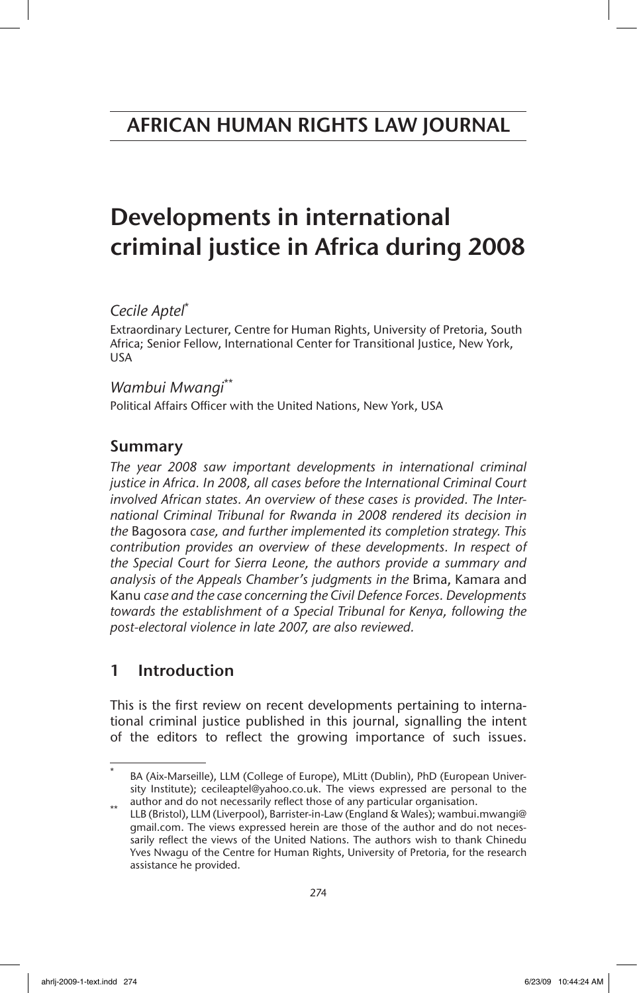# Developments in international criminal justice in Africa during 2008

## *Cecile Aptel*\*

Extraordinary Lecturer, Centre for Human Rights, University of Pretoria, South Africa; Senior Fellow, International Center for Transitional Justice, New York, USA

## *Wambui Mwangi*\*\*

Political Affairs Officer with the United Nations, New York, USA

## Summary

*The year 2008 saw important developments in international criminal justice in Africa. In 2008, all cases before the International Criminal Court involved African states. An overview of these cases is provided. The International Criminal Tribunal for Rwanda in 2008 rendered its decision in the* Bagosora *case, and further implemented its completion strategy. This contribution provides an overview of these developments. In respect of the Special Court for Sierra Leone, the authors provide a summary and analysis of the Appeals Chamber's judgments in the* Brima, Kamara and Kanu *case and the case concerning the Civil Defence Forces. Developments towards the establishment of a Special Tribunal for Kenya, following the post-electoral violence in late 2007, are also reviewed.*

## 1 Introduction

This is the first review on recent developments pertaining to international criminal justice published in this journal, signalling the intent of the editors to reflect the growing importance of such issues.

BA (Aix-Marseille), LLM (College of Europe), MLitt (Dublin), PhD (European University Institute); cecileaptel@yahoo.co.uk. The views expressed are personal to the

author and do not necessarily reflect those of any particular organisation.<br>\*\* LLB (Bristol), LLM (Liverpool), Barrister-in-Law (England & Wales); wambui.mwangi@ gmail.com. The views expressed herein are those of the author and do not necessarily reflect the views of the United Nations. The authors wish to thank Chinedu Yves Nwagu of the Centre for Human Rights, University of Pretoria, for the research assistance he provided.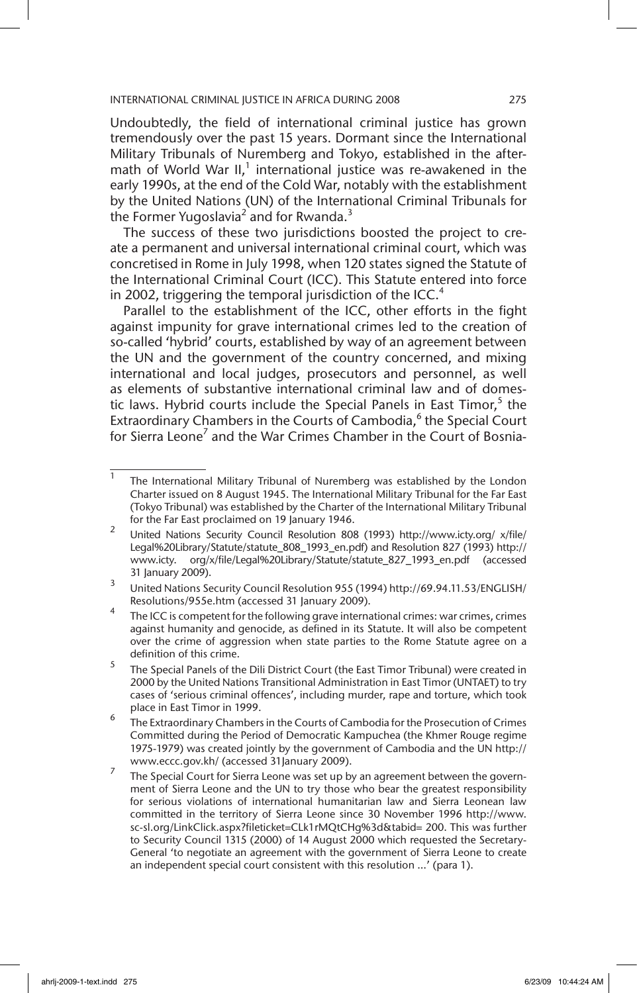Undoubtedly, the field of international criminal justice has grown tremendously over the past 15 years. Dormant since the International Military Tribunals of Nuremberg and Tokyo, established in the aftermath of World War II, $^1$  international justice was re-awakened in the early 1990s, at the end of the Cold War, notably with the establishment by the United Nations (UN) of the International Criminal Tribunals for the Former Yugoslavia<sup>2</sup> and for Rwanda.<sup>3</sup>

The success of these two jurisdictions boosted the project to create a permanent and universal international criminal court, which was concretised in Rome in July 1998, when 120 states signed the Statute of the International Criminal Court (ICC). This Statute entered into force in 2002, triggering the temporal jurisdiction of the ICC.<sup>4</sup>

Parallel to the establishment of the ICC, other efforts in the fight against impunity for grave international crimes led to the creation of so-called 'hybrid' courts, established by way of an agreement between the UN and the government of the country concerned, and mixing international and local judges, prosecutors and personnel, as well as elements of substantive international criminal law and of domestic laws. Hybrid courts include the Special Panels in East Timor,<sup>5</sup> the Extraordinary Chambers in the Courts of Cambodia,<sup>6</sup> the Special Court for Sierra Leone<sup>7</sup> and the War Crimes Chamber in the Court of Bosnia-

 $\overline{1}$  The International Military Tribunal of Nuremberg was established by the London Charter issued on 8 August 1945. The International Military Tribunal for the Far East (Tokyo Tribunal) was established by the Charter of the International Military Tribunal for the Far East proclaimed on 19 January 1946.

<sup>2</sup> United Nations Security Council Resolution 808 (1993) http://www.icty.org/ x/file/ Legal%20Library/Statute/statute\_808\_1993\_en.pdf) and Resolution 827 (1993) http:// www.icty. org/x/file/Legal%20Library/Statute/statute\_827\_1993\_en.pdf (accessed 31 January 2009).

<sup>3</sup> United Nations Security Council Resolution 955 (1994) http://69.94.11.53/ENGLISH/ Resolutions/955e.htm (accessed 31 January 2009).

 $4$  The ICC is competent for the following grave international crimes: war crimes, crimes against humanity and genocide, as defined in its Statute. It will also be competent over the crime of aggression when state parties to the Rome Statute agree on a definition of this crime.

 $5$  The Special Panels of the Dili District Court (the East Timor Tribunal) were created in 2000 by the United Nations Transitional Administration in East Timor (UNTAET) to try cases of 'serious criminal offences', including murder, rape and torture, which took place in East Timor in 1999.

<sup>6</sup> The Extraordinary Chambers in the Courts of Cambodia for the Prosecution of Crimes Committed during the Period of Democratic Kampuchea (the Khmer Rouge regime 1975-1979) was created jointly by the government of Cambodia and the UN http:// www.eccc.gov.kh/ (accessed 31January 2009).

The Special Court for Sierra Leone was set up by an agreement between the government of Sierra Leone and the UN to try those who bear the greatest responsibility for serious violations of international humanitarian law and Sierra Leonean law committed in the territory of Sierra Leone since 30 November 1996 http://www. sc-sl.org/LinkClick.aspx?fileticket=CLk1rMQtCHg%3d&tabid= 200. This was further to Security Council 1315 (2000) of 14 August 2000 which requested the Secretary-General 'to negotiate an agreement with the government of Sierra Leone to create an independent special court consistent with this resolution …' (para 1).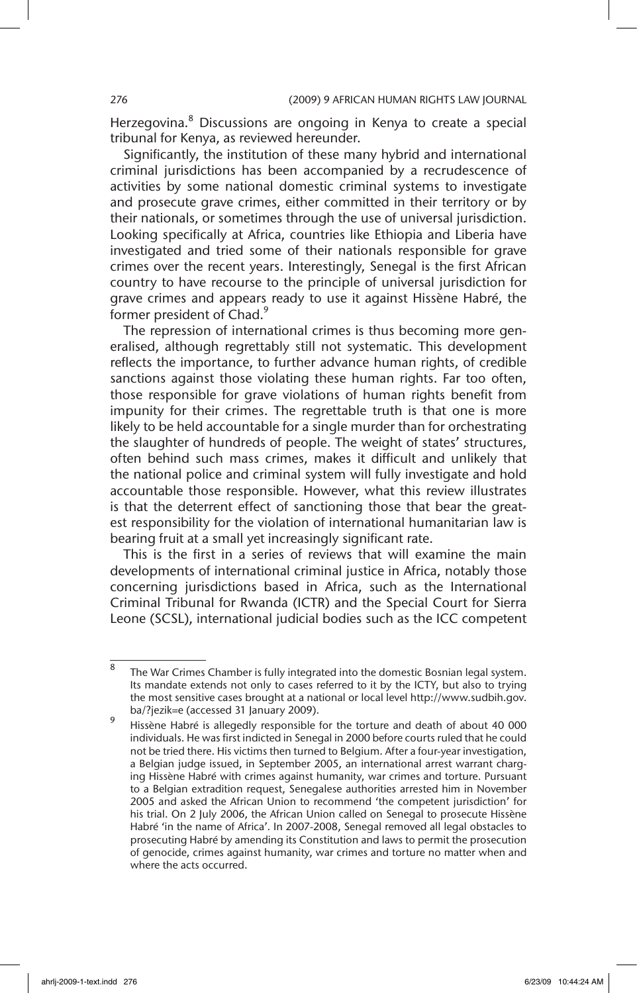Herzegovina.<sup>8</sup> Discussions are ongoing in Kenya to create a special tribunal for Kenya, as reviewed hereunder.

Significantly, the institution of these many hybrid and international criminal jurisdictions has been accompanied by a recrudescence of activities by some national domestic criminal systems to investigate and prosecute grave crimes, either committed in their territory or by their nationals, or sometimes through the use of universal jurisdiction. Looking specifically at Africa, countries like Ethiopia and Liberia have investigated and tried some of their nationals responsible for grave crimes over the recent years. Interestingly, Senegal is the first African country to have recourse to the principle of universal jurisdiction for grave crimes and appears ready to use it against Hissène Habré, the former president of Chad.<sup>9</sup>

The repression of international crimes is thus becoming more generalised, although regrettably still not systematic. This development reflects the importance, to further advance human rights, of credible sanctions against those violating these human rights. Far too often, those responsible for grave violations of human rights benefit from impunity for their crimes. The regrettable truth is that one is more likely to be held accountable for a single murder than for orchestrating the slaughter of hundreds of people. The weight of states' structures, often behind such mass crimes, makes it difficult and unlikely that the national police and criminal system will fully investigate and hold accountable those responsible. However, what this review illustrates is that the deterrent effect of sanctioning those that bear the greatest responsibility for the violation of international humanitarian law is bearing fruit at a small yet increasingly significant rate.

This is the first in a series of reviews that will examine the main developments of international criminal justice in Africa, notably those concerning jurisdictions based in Africa, such as the International Criminal Tribunal for Rwanda (ICTR) and the Special Court for Sierra Leone (SCSL), international judicial bodies such as the ICC competent

 $\overline{8}$  The War Crimes Chamber is fully integrated into the domestic Bosnian legal system. Its mandate extends not only to cases referred to it by the ICTY, but also to trying the most sensitive cases brought at a national or local level http://www.sudbih.gov. ba/?jezik=e (accessed 31 January 2009).

Hissène Habré is allegedly responsible for the torture and death of about 40 000 individuals. He was first indicted in Senegal in 2000 before courts ruled that he could not be tried there. His victims then turned to Belgium. After a four-year investigation, a Belgian judge issued, in September 2005, an international arrest warrant charging Hissène Habré with crimes against humanity, war crimes and torture. Pursuant to a Belgian extradition request, Senegalese authorities arrested him in November 2005 and asked the African Union to recommend 'the competent jurisdiction' for his trial. On 2 July 2006, the African Union called on Senegal to prosecute Hissène Habré 'in the name of Africa'. In 2007-2008, Senegal removed all legal obstacles to prosecuting Habré by amending its Constitution and laws to permit the prosecution of genocide, crimes against humanity, war crimes and torture no matter when and where the acts occurred.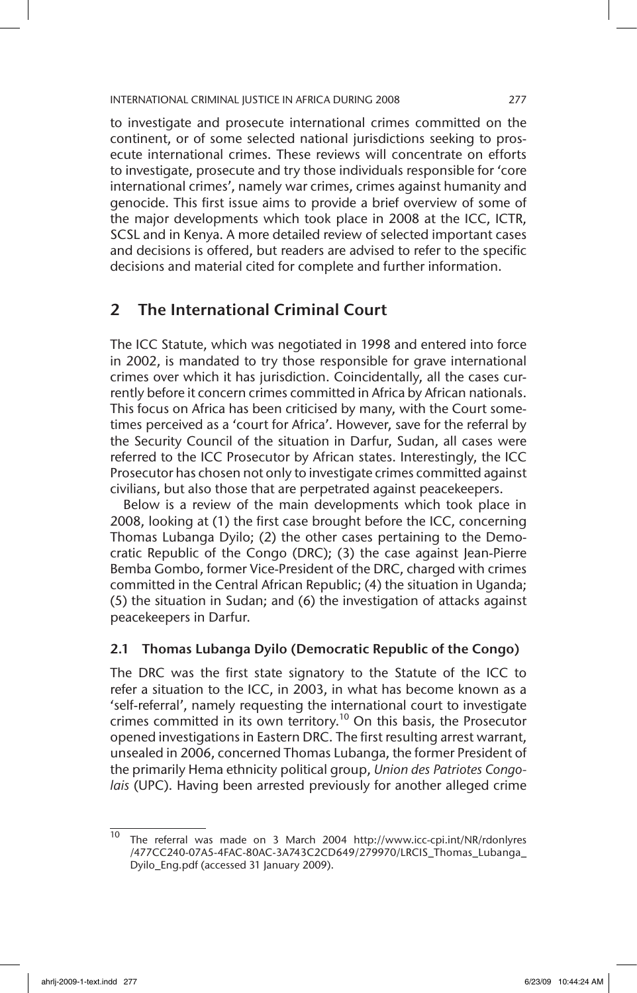to investigate and prosecute international crimes committed on the continent, or of some selected national jurisdictions seeking to prosecute international crimes. These reviews will concentrate on efforts to investigate, prosecute and try those individuals responsible for 'core international crimes', namely war crimes, crimes against humanity and genocide. This first issue aims to provide a brief overview of some of the major developments which took place in 2008 at the ICC, ICTR, SCSL and in Kenya. A more detailed review of selected important cases and decisions is offered, but readers are advised to refer to the specific decisions and material cited for complete and further information.

## 2 The International Criminal Court

The ICC Statute, which was negotiated in 1998 and entered into force in 2002, is mandated to try those responsible for grave international crimes over which it has jurisdiction. Coincidentally, all the cases currently before it concern crimes committed in Africa by African nationals. This focus on Africa has been criticised by many, with the Court sometimes perceived as a 'court for Africa'. However, save for the referral by the Security Council of the situation in Darfur, Sudan, all cases were referred to the ICC Prosecutor by African states. Interestingly, the ICC Prosecutor has chosen not only to investigate crimes committed against civilians, but also those that are perpetrated against peacekeepers.

Below is a review of the main developments which took place in 2008, looking at (1) the first case brought before the ICC, concerning Thomas Lubanga Dyilo; (2) the other cases pertaining to the Democratic Republic of the Congo (DRC); (3) the case against Jean-Pierre Bemba Gombo, former Vice-President of the DRC, charged with crimes committed in the Central African Republic; (4) the situation in Uganda; (5) the situation in Sudan; and (6) the investigation of attacks against peacekeepers in Darfur.

### 2.1 Thomas Lubanga Dyilo (Democratic Republic of the Congo)

The DRC was the first state signatory to the Statute of the ICC to refer a situation to the ICC, in 2003, in what has become known as a 'self-referral', namely requesting the international court to investigate crimes committed in its own territory.<sup>10</sup> On this basis, the Prosecutor opened investigations in Eastern DRC. The first resulting arrest warrant, unsealed in 2006, concerned Thomas Lubanga, the former President of the primarily Hema ethnicity political group, *Union des Patriotes Congolais* (UPC). Having been arrested previously for another alleged crime

<sup>10</sup> The referral was made on 3 March 2004 http://www.icc-cpi.int/NR/rdonlyres /477CC240-07A5-4FAC-80AC-3A743C2CD649/279970/LRCIS\_Thomas\_Lubanga\_ Dyilo\_Eng.pdf (accessed 31 January 2009).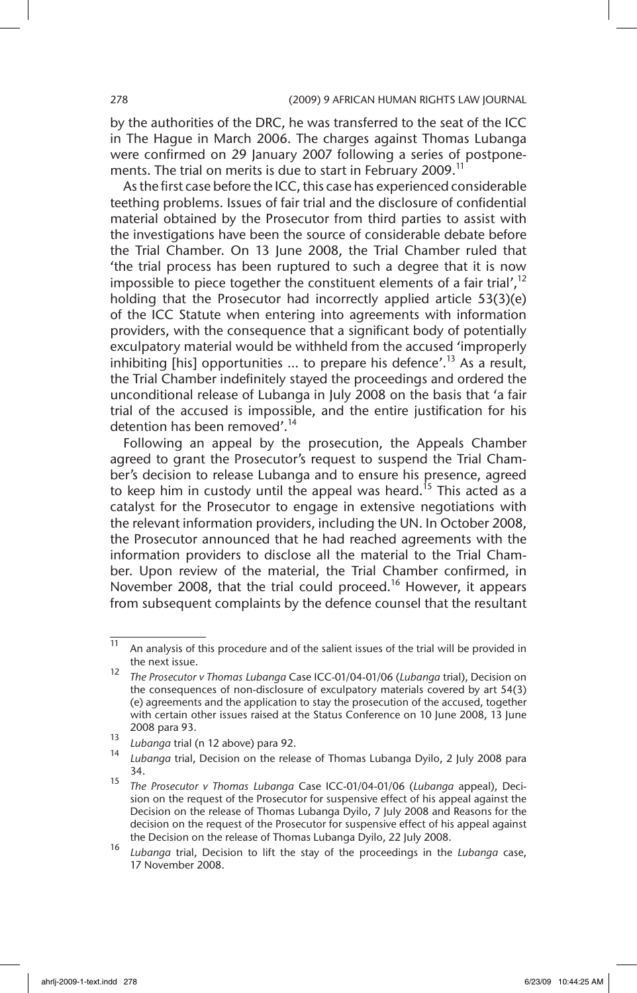by the authorities of the DRC, he was transferred to the seat of the ICC in The Hague in March 2006. The charges against Thomas Lubanga were confirmed on 29 January 2007 following a series of postponements. The trial on merits is due to start in February 2009.<sup>11</sup>

As the first case before the ICC, this case has experienced considerable teething problems. Issues of fair trial and the disclosure of confidential material obtained by the Prosecutor from third parties to assist with the investigations have been the source of considerable debate before the Trial Chamber. On 13 June 2008, the Trial Chamber ruled that 'the trial process has been ruptured to such a degree that it is now impossible to piece together the constituent elements of a fair trial', $12$ holding that the Prosecutor had incorrectly applied article 53(3)(e) of the ICC Statute when entering into agreements with information providers, with the consequence that a significant body of potentially exculpatory material would be withheld from the accused 'improperly inhibiting  $[his]$  opportunities ... to prepare his defence'.<sup>13</sup> As a result, the Trial Chamber indefinitely stayed the proceedings and ordered the unconditional release of Lubanga in July 2008 on the basis that 'a fair trial of the accused is impossible, and the entire justification for his detention has been removed'.<sup>14</sup>

Following an appeal by the prosecution, the Appeals Chamber agreed to grant the Prosecutor's request to suspend the Trial Chamber's decision to release Lubanga and to ensure his presence, agreed to keep him in custody until the appeal was heard.<sup>15</sup> This acted as a catalyst for the Prosecutor to engage in extensive negotiations with the relevant information providers, including the UN. In October 2008, the Prosecutor announced that he had reached agreements with the information providers to disclose all the material to the Trial Chamber. Upon review of the material, the Trial Chamber confirmed, in November 2008, that the trial could proceed.<sup>16</sup> However, it appears from subsequent complaints by the defence counsel that the resultant

<sup>&</sup>lt;sup>11</sup> An analysis of this procedure and of the salient issues of the trial will be provided in the next issue.

<sup>12</sup> *The Prosecutor v Thomas Lubanga* Case ICC-01/04-01/06 (*Lubanga* trial), Decision on the consequences of non-disclosure of exculpatory materials covered by art 54(3) (e) agreements and the application to stay the prosecution of the accused, together with certain other issues raised at the Status Conference on 10 June 2008, 13 June 2008 para 93.

<sup>13</sup> *Lubanga* trial (n 12 above) para 92.

<sup>14</sup> *Lubanga* trial, Decision on the release of Thomas Lubanga Dyilo, 2 July 2008 para 34.

<sup>15</sup> *The Prosecutor v Thomas Lubanga* Case ICC-01/04-01/06 (*Lubanga* appeal), Decision on the request of the Prosecutor for suspensive effect of his appeal against the Decision on the release of Thomas Lubanga Dyilo, 7 July 2008 and Reasons for the decision on the request of the Prosecutor for suspensive effect of his appeal against the Decision on the release of Thomas Lubanga Dyilo, 22 July 2008.

<sup>16</sup> *Lubanga* trial, Decision to lift the stay of the proceedings in the *Lubanga* case, 17 November 2008.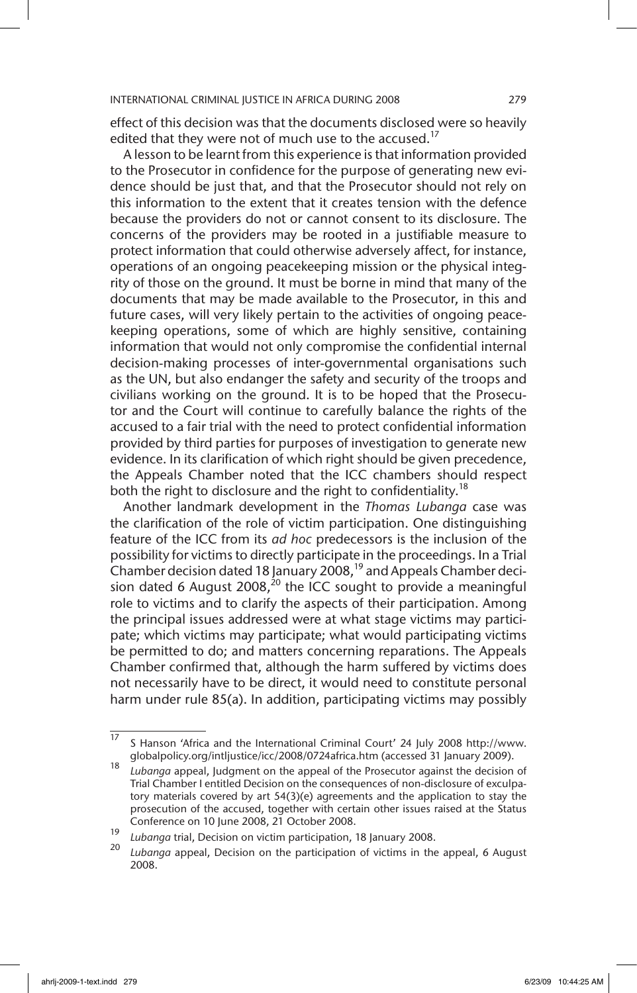effect of this decision was that the documents disclosed were so heavily edited that they were not of much use to the accused.<sup>17</sup>

A lesson to be learnt from this experience is that information provided to the Prosecutor in confidence for the purpose of generating new evidence should be just that, and that the Prosecutor should not rely on this information to the extent that it creates tension with the defence because the providers do not or cannot consent to its disclosure. The concerns of the providers may be rooted in a justifiable measure to protect information that could otherwise adversely affect, for instance, operations of an ongoing peacekeeping mission or the physical integrity of those on the ground. It must be borne in mind that many of the documents that may be made available to the Prosecutor, in this and future cases, will very likely pertain to the activities of ongoing peacekeeping operations, some of which are highly sensitive, containing information that would not only compromise the confidential internal decision-making processes of inter-governmental organisations such as the UN, but also endanger the safety and security of the troops and civilians working on the ground. It is to be hoped that the Prosecutor and the Court will continue to carefully balance the rights of the accused to a fair trial with the need to protect confidential information provided by third parties for purposes of investigation to generate new evidence. In its clarification of which right should be given precedence, the Appeals Chamber noted that the ICC chambers should respect both the right to disclosure and the right to confidentiality.<sup>18</sup>

Another landmark development in the *Thomas Lubanga* case was the clarification of the role of victim participation. One distinguishing feature of the ICC from its *ad hoc* predecessors is the inclusion of the possibility for victims to directly participate in the proceedings. In a Trial Chamber decision dated 18 January 2008, $19$  and Appeals Chamber decision dated 6 August 2008,<sup>20</sup> the ICC sought to provide a meaningful role to victims and to clarify the aspects of their participation. Among the principal issues addressed were at what stage victims may participate; which victims may participate; what would participating victims be permitted to do; and matters concerning reparations. The Appeals Chamber confirmed that, although the harm suffered by victims does not necessarily have to be direct, it would need to constitute personal harm under rule 85(a). In addition, participating victims may possibly

<sup>17</sup> S Hanson 'Africa and the International Criminal Court' 24 July 2008 http://www. globalpolicy.org/intljustice/icc/2008/0724africa.htm (accessed 31 January 2009).

<sup>18</sup> *Lubanga* appeal, Judgment on the appeal of the Prosecutor against the decision of Trial Chamber I entitled Decision on the consequences of non-disclosure of exculpatory materials covered by art 54(3)(e) agreements and the application to stay the prosecution of the accused, together with certain other issues raised at the Status Conference on 10 June 2008, 21 October 2008.

<sup>19</sup> *Lubanga* trial, Decision on victim participation, 18 January 2008.

Lubanga appeal, Decision on the participation of victims in the appeal, 6 August 2008.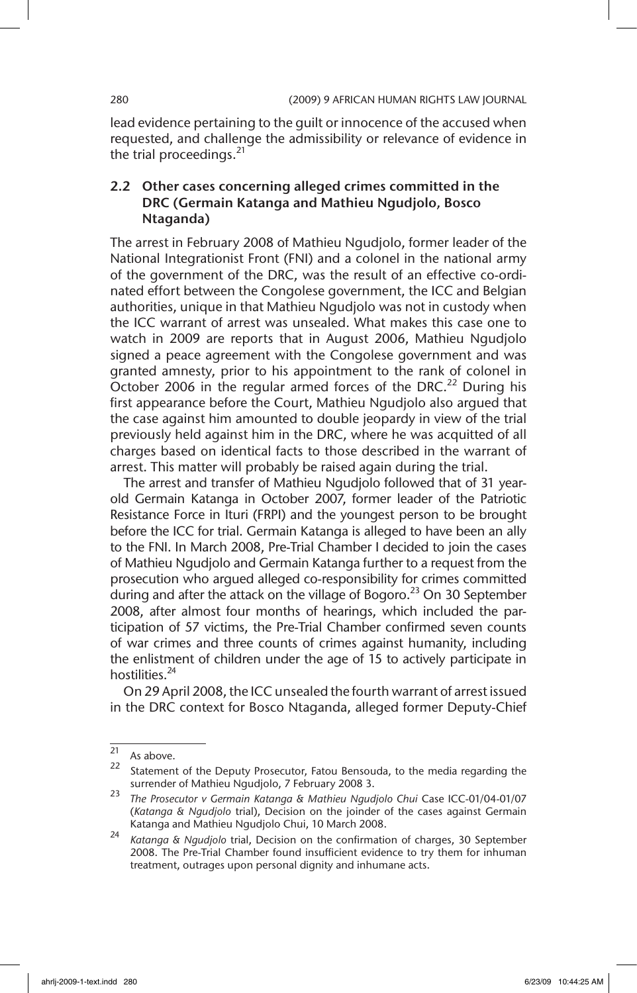lead evidence pertaining to the guilt or innocence of the accused when requested, and challenge the admissibility or relevance of evidence in the trial proceedings. $^{21}$ 

## 2.2 Other cases concerning alleged crimes committed in the DRC (Germain Katanga and Mathieu Ngudjolo, Bosco Ntaganda)

The arrest in February 2008 of Mathieu Ngudjolo, former leader of the National Integrationist Front (FNI) and a colonel in the national army of the government of the DRC, was the result of an effective co-ordinated effort between the Congolese government, the ICC and Belgian authorities, unique in that Mathieu Ngudjolo was not in custody when the ICC warrant of arrest was unsealed. What makes this case one to watch in 2009 are reports that in August 2006, Mathieu Ngudjolo signed a peace agreement with the Congolese government and was granted amnesty, prior to his appointment to the rank of colonel in October 2006 in the regular armed forces of the DRC.<sup>22</sup> During his first appearance before the Court, Mathieu Ngudjolo also argued that the case against him amounted to double jeopardy in view of the trial previously held against him in the DRC, where he was acquitted of all charges based on identical facts to those described in the warrant of arrest. This matter will probably be raised again during the trial.

The arrest and transfer of Mathieu Ngudjolo followed that of 31 yearold Germain Katanga in October 2007, former leader of the Patriotic Resistance Force in Ituri (FRPI) and the youngest person to be brought before the ICC for trial. Germain Katanga is alleged to have been an ally to the FNI. In March 2008, Pre-Trial Chamber I decided to join the cases of Mathieu Ngudjolo and Germain Katanga further to a request from the prosecution who argued alleged co-responsibility for crimes committed during and after the attack on the village of Bogoro.<sup>23</sup> On 30 September 2008, after almost four months of hearings, which included the participation of 57 victims, the Pre-Trial Chamber confirmed seven counts of war crimes and three counts of crimes against humanity, including the enlistment of children under the age of 15 to actively participate in hostilities.<sup>24</sup>

On 29 April 2008, the ICC unsealed the fourth warrant of arrest issued in the DRC context for Bosco Ntaganda, alleged former Deputy-Chief

 $21$  As above.

 $22$  Statement of the Deputy Prosecutor, Fatou Bensouda, to the media regarding the surrender of Mathieu Ngudjolo, 7 February 2008 3.

<sup>23</sup> *The Prosecutor v Germain Katanga & Mathieu Ngudjolo Chui* Case ICC-01/04-01/07 (*Katanga & Ngudjolo* trial), Decision on the joinder of the cases against Germain Katanga and Mathieu Ngudjolo Chui, 10 March 2008.

<sup>24</sup> *Katanga & Ngudjolo* trial, Decision on the confirmation of charges, 30 September 2008. The Pre-Trial Chamber found insufficient evidence to try them for inhuman treatment, outrages upon personal dignity and inhumane acts.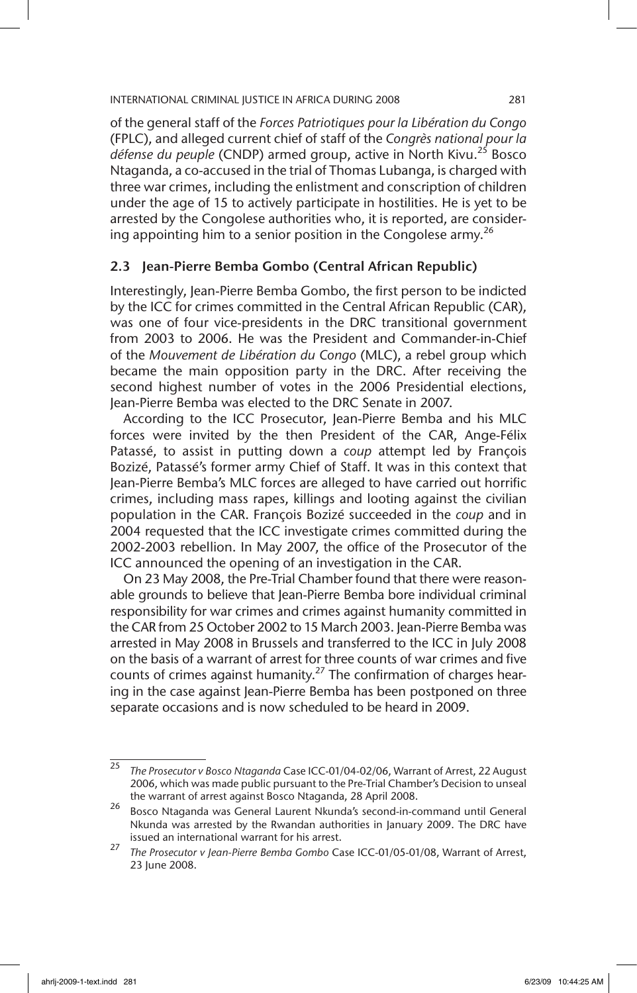of the general staff of the *Forces Patriotiques pour la Libération du Congo* (FPLC), and alleged current chief of staff of the *Congrès national pour la*  défense du peuple (CNDP) armed group, active in North Kivu.<sup>25</sup> Bosco Ntaganda, a co-accused in the trial of Thomas Lubanga, is charged with three war crimes, including the enlistment and conscription of children under the age of 15 to actively participate in hostilities. He is yet to be arrested by the Congolese authorities who, it is reported, are considering appointing him to a senior position in the Congolese army.<sup>26</sup>

### 2.3 Jean-Pierre Bemba Gombo (Central African Republic)

Interestingly, Jean-Pierre Bemba Gombo, the first person to be indicted by the ICC for crimes committed in the Central African Republic (CAR), was one of four vice-presidents in the DRC transitional government from 2003 to 2006. He was the President and Commander-in-Chief of the *Mouvement de Libération du Congo* (MLC), a rebel group which became the main opposition party in the DRC. After receiving the second highest number of votes in the 2006 Presidential elections, Jean-Pierre Bemba was elected to the DRC Senate in 2007.

According to the ICC Prosecutor, Jean-Pierre Bemba and his MLC forces were invited by the then President of the CAR, Ange-Félix Patassé, to assist in putting down a *coup* attempt led by François Bozizé, Patassé's former army Chief of Staff. It was in this context that Jean-Pierre Bemba's MLC forces are alleged to have carried out horrific crimes, including mass rapes, killings and looting against the civilian population in the CAR. François Bozizé succeeded in the *coup* and in 2004 requested that the ICC investigate crimes committed during the 2002-2003 rebellion. In May 2007, the office of the Prosecutor of the ICC announced the opening of an investigation in the CAR.

On 23 May 2008, the Pre-Trial Chamber found that there were reasonable grounds to believe that Jean-Pierre Bemba bore individual criminal responsibility for war crimes and crimes against humanity committed in the CAR from 25 October 2002 to 15 March 2003. Jean-Pierre Bemba was arrested in May 2008 in Brussels and transferred to the ICC in July 2008 on the basis of a warrant of arrest for three counts of war crimes and five counts of crimes against humanity.<sup>27</sup> The confirmation of charges hearing in the case against Jean-Pierre Bemba has been postponed on three separate occasions and is now scheduled to be heard in 2009.

<sup>25</sup> *The Prosecutor v Bosco Ntaganda* Case ICC-01/04-02/06, Warrant of Arrest, 22 August 2006, which was made public pursuant to the Pre-Trial Chamber's Decision to unseal the warrant of arrest against Bosco Ntaganda, 28 April 2008.

<sup>&</sup>lt;sup>26</sup> Bosco Ntaganda was General Laurent Nkunda's second-in-command until General Nkunda was arrested by the Rwandan authorities in January 2009. The DRC have issued an international warrant for his arrest.

<sup>27</sup> *The Prosecutor v Jean-Pierre Bemba Gombo* Case ICC-01/05-01/08, Warrant of Arrest, 23 June 2008.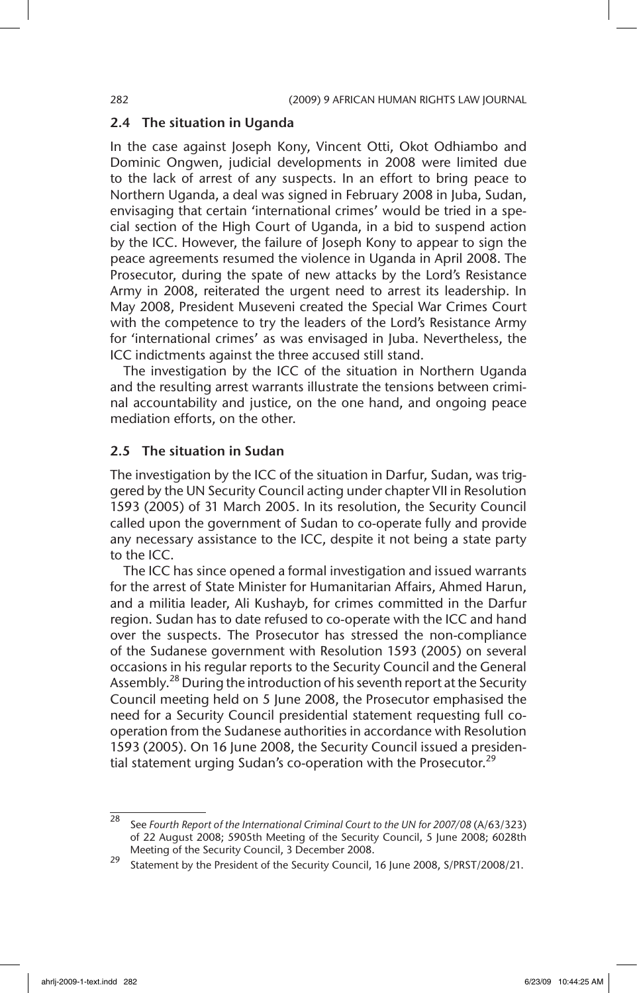### 2.4 The situation in Uganda

In the case against Joseph Kony, Vincent Otti, Okot Odhiambo and Dominic Ongwen, judicial developments in 2008 were limited due to the lack of arrest of any suspects. In an effort to bring peace to Northern Uganda, a deal was signed in February 2008 in Juba, Sudan, envisaging that certain 'international crimes' would be tried in a special section of the High Court of Uganda, in a bid to suspend action by the ICC. However, the failure of Joseph Kony to appear to sign the peace agreements resumed the violence in Uganda in April 2008. The Prosecutor, during the spate of new attacks by the Lord's Resistance Army in 2008, reiterated the urgent need to arrest its leadership. In May 2008, President Museveni created the Special War Crimes Court with the competence to try the leaders of the Lord's Resistance Army for 'international crimes' as was envisaged in Juba. Nevertheless, the ICC indictments against the three accused still stand.

The investigation by the ICC of the situation in Northern Uganda and the resulting arrest warrants illustrate the tensions between criminal accountability and justice, on the one hand, and ongoing peace mediation efforts, on the other.

### 2.5 The situation in Sudan

The investigation by the ICC of the situation in Darfur, Sudan, was triggered by the UN Security Council acting under chapter VII in Resolution 1593 (2005) of 31 March 2005. In its resolution, the Security Council called upon the government of Sudan to co-operate fully and provide any necessary assistance to the ICC, despite it not being a state party to the ICC.

The ICC has since opened a formal investigation and issued warrants for the arrest of State Minister for Humanitarian Affairs, Ahmed Harun, and a militia leader, Ali Kushayb, for crimes committed in the Darfur region. Sudan has to date refused to co-operate with the ICC and hand over the suspects. The Prosecutor has stressed the non-compliance of the Sudanese government with Resolution 1593 (2005) on several occasions in his regular reports to the Security Council and the General Assembly.<sup>28</sup> During the introduction of his seventh report at the Security Council meeting held on 5 June 2008, the Prosecutor emphasised the need for a Security Council presidential statement requesting full cooperation from the Sudanese authorities in accordance with Resolution 1593 (2005). On 16 June 2008, the Security Council issued a presidential statement urging Sudan's co-operation with the Prosecutor.<sup>29</sup>

<sup>28</sup> See *Fourth Report of the International Criminal Court to the UN for 2007/08* (A/63/323) of 22 August 2008; 5905th Meeting of the Security Council, 5 June 2008; 6028th Meeting of the Security Council, 3 December 2008.

<sup>&</sup>lt;sup>29</sup> Statement by the President of the Security Council, 16 June 2008, S/PRST/2008/21.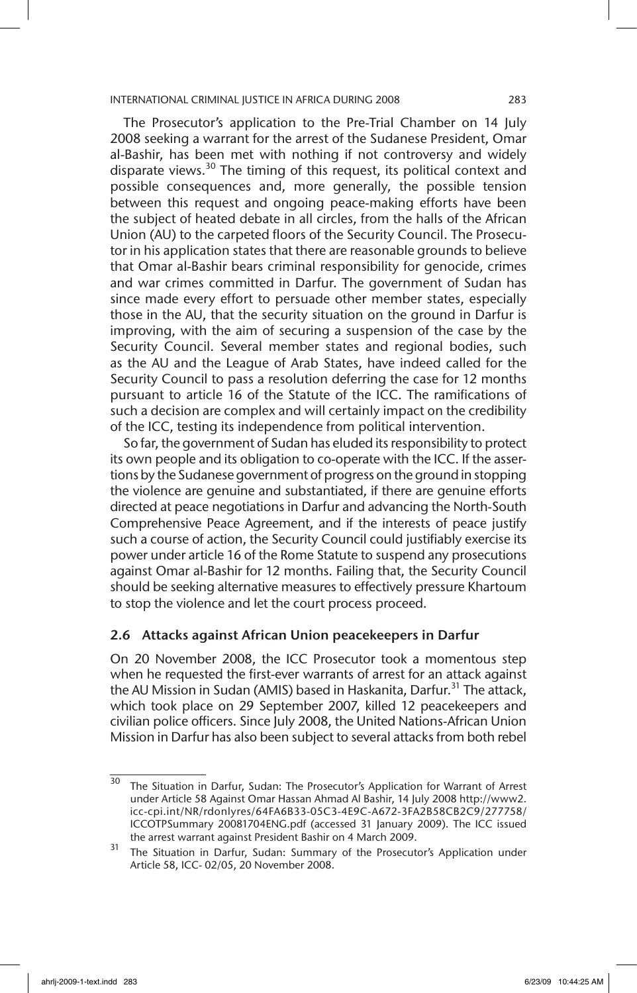The Prosecutor's application to the Pre-Trial Chamber on 14 July 2008 seeking a warrant for the arrest of the Sudanese President, Omar al-Bashir, has been met with nothing if not controversy and widely disparate views.<sup>30</sup> The timing of this request, its political context and possible consequences and, more generally, the possible tension between this request and ongoing peace-making efforts have been the subject of heated debate in all circles, from the halls of the African Union (AU) to the carpeted floors of the Security Council. The Prosecutor in his application states that there are reasonable grounds to believe that Omar al-Bashir bears criminal responsibility for genocide, crimes and war crimes committed in Darfur. The government of Sudan has since made every effort to persuade other member states, especially those in the AU, that the security situation on the ground in Darfur is improving, with the aim of securing a suspension of the case by the Security Council. Several member states and regional bodies, such as the AU and the League of Arab States, have indeed called for the Security Council to pass a resolution deferring the case for 12 months pursuant to article 16 of the Statute of the ICC. The ramifications of such a decision are complex and will certainly impact on the credibility of the ICC, testing its independence from political intervention.

So far, the government of Sudan has eluded its responsibility to protect its own people and its obligation to co-operate with the ICC. If the assertions by the Sudanese government of progress on the ground in stopping the violence are genuine and substantiated, if there are genuine efforts directed at peace negotiations in Darfur and advancing the North-South Comprehensive Peace Agreement, and if the interests of peace justify such a course of action, the Security Council could justifiably exercise its power under article 16 of the Rome Statute to suspend any prosecutions against Omar al-Bashir for 12 months. Failing that, the Security Council should be seeking alternative measures to effectively pressure Khartoum to stop the violence and let the court process proceed.

### 2.6 Attacks against African Union peacekeepers in Darfur

On 20 November 2008, the ICC Prosecutor took a momentous step when he requested the first-ever warrants of arrest for an attack against the AU Mission in Sudan (AMIS) based in Haskanita, Darfur.<sup>31</sup> The attack, which took place on 29 September 2007, killed 12 peacekeepers and civilian police officers. Since July 2008, the United Nations-African Union Mission in Darfur has also been subject to several attacks from both rebel

<sup>&</sup>lt;sup>30</sup> The Situation in Darfur, Sudan: The Prosecutor's Application for Warrant of Arrest under Article 58 Against Omar Hassan Ahmad Al Bashir, 14 July 2008 http://www2. icc-cpi.int/NR/rdonlyres/64FA6B33-05C3-4E9C-A672-3FA2B58CB2C9/277758/ ICCOTPSummary 20081704ENG.pdf (accessed 31 January 2009). The ICC issued the arrest warrant against President Bashir on 4 March 2009.

<sup>&</sup>lt;sup>31</sup> The Situation in Darfur, Sudan: Summary of the Prosecutor's Application under Article 58, ICC- 02/05, 20 November 2008.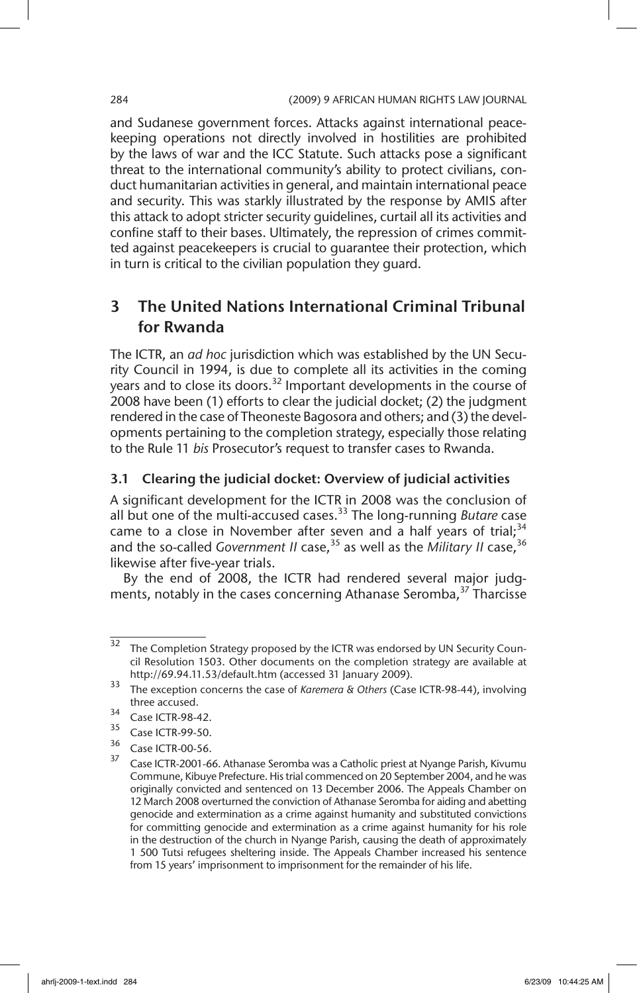and Sudanese government forces. Attacks against international peacekeeping operations not directly involved in hostilities are prohibited by the laws of war and the ICC Statute. Such attacks pose a significant threat to the international community's ability to protect civilians, conduct humanitarian activities in general, and maintain international peace and security. This was starkly illustrated by the response by AMIS after this attack to adopt stricter security guidelines, curtail all its activities and confine staff to their bases. Ultimately, the repression of crimes committed against peacekeepers is crucial to guarantee their protection, which in turn is critical to the civilian population they guard.

## 3 The United Nations International Criminal Tribunal for Rwanda

The ICTR, an *ad hoc* jurisdiction which was established by the UN Security Council in 1994, is due to complete all its activities in the coming years and to close its doors.<sup>32</sup> Important developments in the course of 2008 have been (1) efforts to clear the judicial docket; (2) the judgment rendered in the case of Theoneste Bagosora and others; and (3) the developments pertaining to the completion strategy, especially those relating to the Rule 11 *bis* Prosecutor's request to transfer cases to Rwanda.

## 3.1 Clearing the judicial docket: Overview of judicial activities

A significant development for the ICTR in 2008 was the conclusion of all but one of the multi-accused cases.33 The long-running *Butare* case came to a close in November after seven and a half years of trial;  $34$ and the so-called *Government II* case,<sup>35</sup> as well as the *Military II* case,<sup>36</sup> likewise after five-year trials.

By the end of 2008, the ICTR had rendered several major judgments, notably in the cases concerning Athanase Seromba,<sup>37</sup> Tharcisse

<sup>&</sup>lt;sup>32</sup> The Completion Strategy proposed by the ICTR was endorsed by UN Security Council Resolution 1503. Other documents on the completion strategy are available at http://69.94.11.53/default.htm (accessed 31 January 2009).

<sup>33</sup> The exception concerns the case of *Karemera & Others* (Case ICTR-98-44), involving three accused.

 $34$  Case ICTR-98-42.

 $\frac{35}{36}$  Case ICTR-99-50.

 $^{36}$  Case ICTR-00-56.

Case ICTR-2001-66. Athanase Seromba was a Catholic priest at Nyange Parish, Kivumu Commune, Kibuye Prefecture. His trial commenced on 20 September 2004, and he was originally convicted and sentenced on 13 December 2006. The Appeals Chamber on 12 March 2008 overturned the conviction of Athanase Seromba for aiding and abetting genocide and extermination as a crime against humanity and substituted convictions for committing genocide and extermination as a crime against humanity for his role in the destruction of the church in Nyange Parish, causing the death of approximately 1 500 Tutsi refugees sheltering inside. The Appeals Chamber increased his sentence from 15 years' imprisonment to imprisonment for the remainder of his life.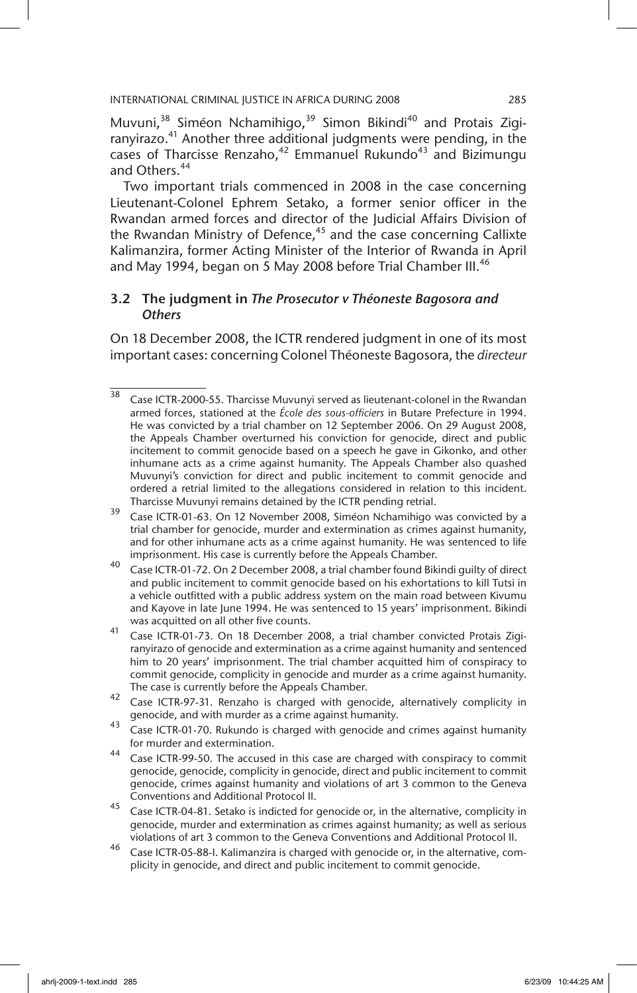Muvuni,<sup>38</sup> Siméon Nchamihigo,<sup>39</sup> Simon Bikindi<sup>40</sup> and Protais Zigiranyirazo.<sup>41</sup> Another three additional judgments were pending, in the cases of Tharcisse Renzaho, $42$  Emmanuel Rukundo<sup>43</sup> and Bizimungu and Others.<sup>44</sup>

Two important trials commenced in 2008 in the case concerning Lieutenant-Colonel Ephrem Setako, a former senior officer in the Rwandan armed forces and director of the Judicial Affairs Division of the Rwandan Ministry of Defence, $45$  and the case concerning Callixte Kalimanzira, former Acting Minister of the Interior of Rwanda in April and May 1994, began on 5 May 2008 before Trial Chamber III.<sup>46</sup>

## 3.2 The judgment in *The Prosecutor v Théoneste Bagosora and Others*

On 18 December 2008, the ICTR rendered judgment in one of its most important cases: concerning Colonel Théoneste Bagosora, the *directeur* 

- <sup>39</sup> Case ICTR-01-63. On 12 November 2008, Siméon Nchamihigo was convicted by a trial chamber for genocide, murder and extermination as crimes against humanity, and for other inhumane acts as a crime against humanity. He was sentenced to life imprisonment. His case is currently before the Appeals Chamber.
- <sup>40</sup> Case ICTR-01-72. On 2 December 2008, a trial chamber found Bikindi guilty of direct and public incitement to commit genocide based on his exhortations to kill Tutsi in a vehicle outfitted with a public address system on the main road between Kivumu and Kayove in late June 1994. He was sentenced to 15 years' imprisonment. Bikindi was acquitted on all other five counts.
- <sup>41</sup> Case ICTR-01-73. On 18 December 2008, a trial chamber convicted Protais Zigiranyirazo of genocide and extermination as a crime against humanity and sentenced him to 20 years' imprisonment. The trial chamber acquitted him of conspiracy to commit genocide, complicity in genocide and murder as a crime against humanity. The case is currently before the Appeals Chamber.
- $42$  Case ICTR-97-31. Renzaho is charged with genocide, alternatively complicity in genocide, and with murder as a crime against humanity.
- $\frac{43}{2}$  Case ICTR-01-70. Rukundo is charged with genocide and crimes against humanity for murder and extermination.
- <sup>44</sup> Case ICTR-99-50. The accused in this case are charged with conspiracy to commit genocide, genocide, complicity in genocide, direct and public incitement to commit genocide, crimes against humanity and violations of art 3 common to the Geneva Conventions and Additional Protocol II.
- <sup>45</sup> Case ICTR-04-81. Setako is indicted for genocide or, in the alternative, complicity in genocide, murder and extermination as crimes against humanity; as well as serious violations of art 3 common to the Geneva Conventions and Additional Protocol II.
- <sup>46</sup> Case ICTR-05-88-I. Kalimanzira is charged with genocide or, in the alternative, complicity in genocide, and direct and public incitement to commit genocide.

<sup>38</sup> Case ICTR-2000-55. Tharcisse Muvunyi served as lieutenant-colonel in the Rwandan armed forces, stationed at the *École des sous-officiers* in Butare Prefecture in 1994. He was convicted by a trial chamber on 12 September 2006. On 29 August 2008, the Appeals Chamber overturned his conviction for genocide, direct and public incitement to commit genocide based on a speech he gave in Gikonko, and other inhumane acts as a crime against humanity. The Appeals Chamber also quashed Muvunyi's conviction for direct and public incitement to commit genocide and ordered a retrial limited to the allegations considered in relation to this incident. Tharcisse Muvunyi remains detained by the ICTR pending retrial.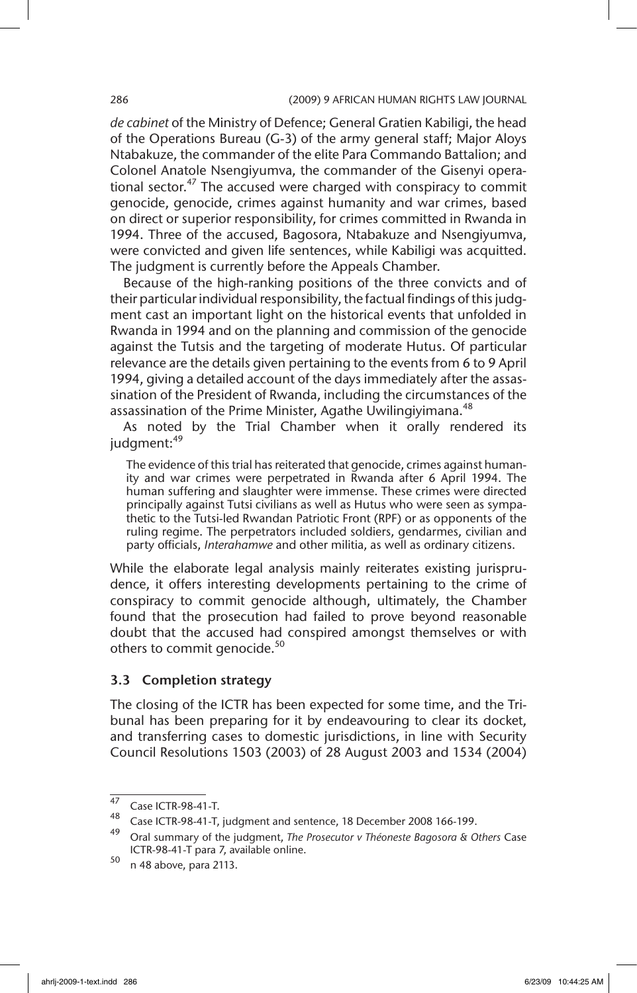*de cabinet* of the Ministry of Defence; General Gratien Kabiligi, the head of the Operations Bureau (G-3) of the army general staff; Major Aloys Ntabakuze, the commander of the elite Para Commando Battalion; and Colonel Anatole Nsengiyumva, the commander of the Gisenyi operational sector.<sup>47</sup> The accused were charged with conspiracy to commit genocide, genocide, crimes against humanity and war crimes, based on direct or superior responsibility, for crimes committed in Rwanda in 1994. Three of the accused, Bagosora, Ntabakuze and Nsengiyumva, were convicted and given life sentences, while Kabiligi was acquitted. The judgment is currently before the Appeals Chamber.

Because of the high-ranking positions of the three convicts and of their particular individual responsibility, the factual findings of this judgment cast an important light on the historical events that unfolded in Rwanda in 1994 and on the planning and commission of the genocide against the Tutsis and the targeting of moderate Hutus. Of particular relevance are the details given pertaining to the events from 6 to 9 April 1994, giving a detailed account of the days immediately after the assassination of the President of Rwanda, including the circumstances of the assassination of the Prime Minister, Agathe Uwilingiyimana.<sup>48</sup>

As noted by the Trial Chamber when it orally rendered its judgment:<sup>49</sup>

The evidence of this trial has reiterated that genocide, crimes against humanity and war crimes were perpetrated in Rwanda after 6 April 1994. The human suffering and slaughter were immense. These crimes were directed principally against Tutsi civilians as well as Hutus who were seen as sympathetic to the Tutsi-led Rwandan Patriotic Front (RPF) or as opponents of the ruling regime. The perpetrators included soldiers, gendarmes, civilian and party officials, *Interahamwe* and other militia, as well as ordinary citizens.

While the elaborate legal analysis mainly reiterates existing jurisprudence, it offers interesting developments pertaining to the crime of conspiracy to commit genocide although, ultimately, the Chamber found that the prosecution had failed to prove beyond reasonable doubt that the accused had conspired amongst themselves or with others to commit genocide.<sup>50</sup>

## 3.3 Completion strategy

The closing of the ICTR has been expected for some time, and the Tribunal has been preparing for it by endeavouring to clear its docket, and transferring cases to domestic jurisdictions, in line with Security Council Resolutions 1503 (2003) of 28 August 2003 and 1534 (2004)

 $\frac{47}{48}$  Case ICTR-98-41-T.

Case ICTR-98-41-T, judgment and sentence, 18 December 2008 166-199.

<sup>49</sup> Oral summary of the judgment, *The Prosecutor v Théoneste Bagosora & Others* Case ICTR-98-41-T para 7, available online.

<sup>50</sup> n 48 above, para 2113.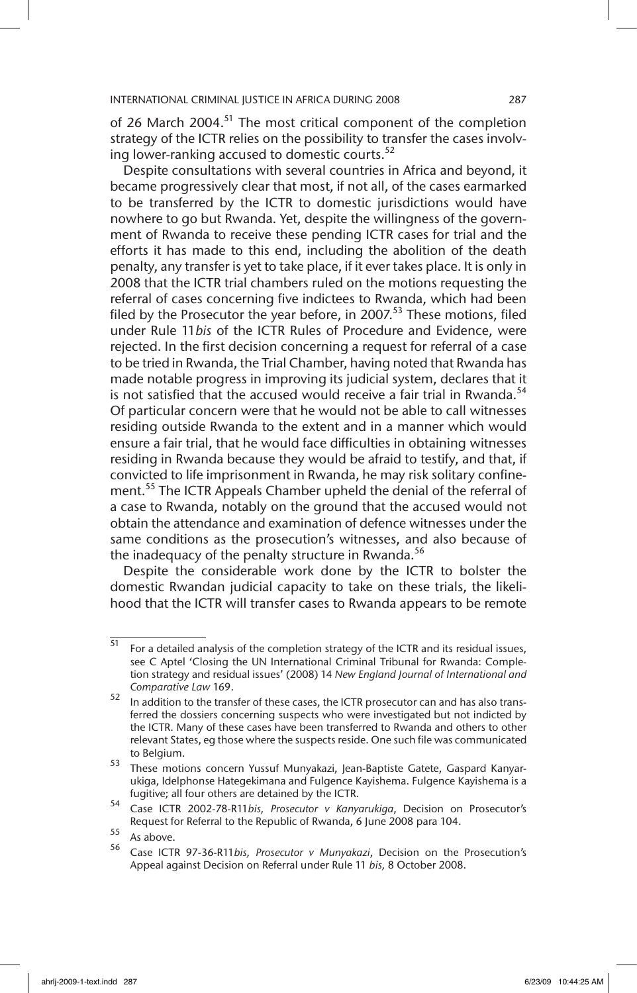of 26 March 2004.<sup>51</sup> The most critical component of the completion strategy of the ICTR relies on the possibility to transfer the cases involving lower-ranking accused to domestic courts.<sup>52</sup>

Despite consultations with several countries in Africa and beyond, it became progressively clear that most, if not all, of the cases earmarked to be transferred by the ICTR to domestic jurisdictions would have nowhere to go but Rwanda. Yet, despite the willingness of the government of Rwanda to receive these pending ICTR cases for trial and the efforts it has made to this end, including the abolition of the death penalty, any transfer is yet to take place, if it ever takes place. It is only in 2008 that the ICTR trial chambers ruled on the motions requesting the referral of cases concerning five indictees to Rwanda, which had been filed by the Prosecutor the year before, in 2007.<sup>53</sup> These motions, filed under Rule 11*bis* of the ICTR Rules of Procedure and Evidence, were rejected. In the first decision concerning a request for referral of a case to be tried in Rwanda, the Trial Chamber, having noted that Rwanda has made notable progress in improving its judicial system, declares that it is not satisfied that the accused would receive a fair trial in Rwanda. $54$ Of particular concern were that he would not be able to call witnesses residing outside Rwanda to the extent and in a manner which would ensure a fair trial, that he would face difficulties in obtaining witnesses residing in Rwanda because they would be afraid to testify, and that, if convicted to life imprisonment in Rwanda, he may risk solitary confinement.<sup>55</sup> The ICTR Appeals Chamber upheld the denial of the referral of a case to Rwanda, notably on the ground that the accused would not obtain the attendance and examination of defence witnesses under the same conditions as the prosecution's witnesses, and also because of the inadequacy of the penalty structure in Rwanda.<sup>56</sup>

Despite the considerable work done by the ICTR to bolster the domestic Rwandan judicial capacity to take on these trials, the likelihood that the ICTR will transfer cases to Rwanda appears to be remote

 $\frac{51}{51}$  For a detailed analysis of the completion strategy of the ICTR and its residual issues, see C Aptel 'Closing the UN International Criminal Tribunal for Rwanda: Completion strategy and residual issues' (2008) 14 *New England Journal of International and Comparative Law* 169.

<sup>52</sup> In addition to the transfer of these cases, the ICTR prosecutor can and has also transferred the dossiers concerning suspects who were investigated but not indicted by the ICTR. Many of these cases have been transferred to Rwanda and others to other relevant States, eg those where the suspects reside. One such file was communicated to Belgium.

<sup>53</sup> These motions concern Yussuf Munyakazi, Jean-Baptiste Gatete, Gaspard Kanyarukiga, Idelphonse Hategekimana and Fulgence Kayishema. Fulgence Kayishema is a fugitive; all four others are detained by the ICTR.

<sup>54</sup> Case ICTR 2002-78-R11*bis, Prosecutor v Kanyarukiga*, Decision on Prosecutor's Request for Referral to the Republic of Rwanda, 6 June 2008 para 104.

 $\frac{55}{56}$  As above.

<sup>56</sup> Case ICTR 97-36-R11*bis, Prosecutor v Munyakazi*, Decision on the Prosecution's Appeal against Decision on Referral under Rule 11 *bis,* 8 October 2008.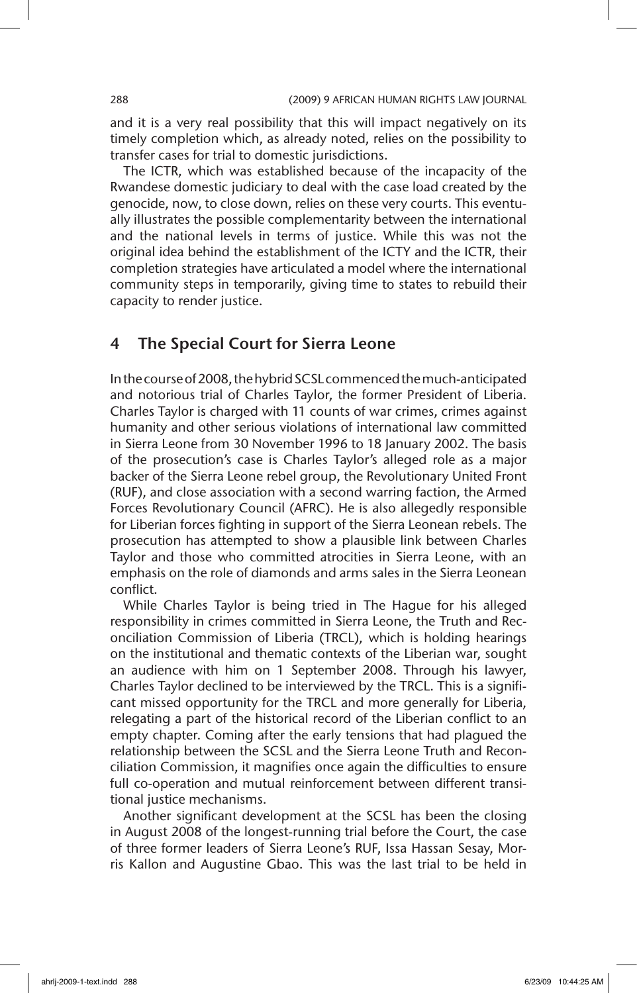and it is a very real possibility that this will impact negatively on its timely completion which, as already noted, relies on the possibility to transfer cases for trial to domestic jurisdictions.

The ICTR, which was established because of the incapacity of the Rwandese domestic judiciary to deal with the case load created by the genocide, now, to close down, relies on these very courts. This eventually illustrates the possible complementarity between the international and the national levels in terms of justice. While this was not the original idea behind the establishment of the ICTY and the ICTR, their completion strategies have articulated a model where the international community steps in temporarily, giving time to states to rebuild their capacity to render justice.

## 4 The Special Court for Sierra Leone

In the course of 2008, the hybrid SCSL commenced the much-anticipated and notorious trial of Charles Taylor, the former President of Liberia. Charles Taylor is charged with 11 counts of war crimes, crimes against humanity and other serious violations of international law committed in Sierra Leone from 30 November 1996 to 18 January 2002. The basis of the prosecution's case is Charles Taylor's alleged role as a major backer of the Sierra Leone rebel group, the Revolutionary United Front (RUF), and close association with a second warring faction, the Armed Forces Revolutionary Council (AFRC). He is also allegedly responsible for Liberian forces fighting in support of the Sierra Leonean rebels. The prosecution has attempted to show a plausible link between Charles Taylor and those who committed atrocities in Sierra Leone, with an emphasis on the role of diamonds and arms sales in the Sierra Leonean conflict.

While Charles Taylor is being tried in The Hague for his alleged responsibility in crimes committed in Sierra Leone, the Truth and Reconciliation Commission of Liberia (TRCL), which is holding hearings on the institutional and thematic contexts of the Liberian war, sought an audience with him on 1 September 2008. Through his lawyer, Charles Taylor declined to be interviewed by the TRCL. This is a significant missed opportunity for the TRCL and more generally for Liberia, relegating a part of the historical record of the Liberian conflict to an empty chapter. Coming after the early tensions that had plagued the relationship between the SCSL and the Sierra Leone Truth and Reconciliation Commission, it magnifies once again the difficulties to ensure full co-operation and mutual reinforcement between different transitional justice mechanisms.

Another significant development at the SCSL has been the closing in August 2008 of the longest-running trial before the Court, the case of three former leaders of Sierra Leone's RUF, Issa Hassan Sesay, Morris Kallon and Augustine Gbao. This was the last trial to be held in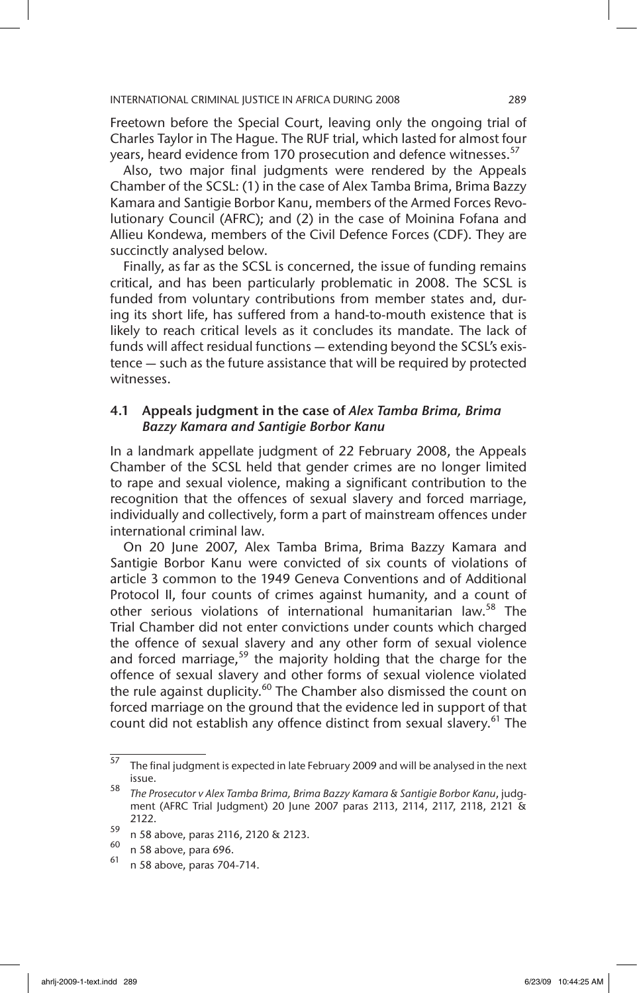Freetown before the Special Court, leaving only the ongoing trial of Charles Taylor in The Hague. The RUF trial, which lasted for almost four years, heard evidence from 170 prosecution and defence witnesses.<sup>57</sup>

Also, two major final judgments were rendered by the Appeals Chamber of the SCSL: (1) in the case of Alex Tamba Brima, Brima Bazzy Kamara and Santigie Borbor Kanu, members of the Armed Forces Revolutionary Council (AFRC); and (2) in the case of Moinina Fofana and Allieu Kondewa, members of the Civil Defence Forces (CDF). They are succinctly analysed below.

Finally, as far as the SCSL is concerned, the issue of funding remains critical, and has been particularly problematic in 2008. The SCSL is funded from voluntary contributions from member states and, during its short life, has suffered from a hand-to-mouth existence that is likely to reach critical levels as it concludes its mandate. The lack of funds will affect residual functions — extending beyond the SCSL's existence — such as the future assistance that will be required by protected witnesses.

### 4.1 Appeals judgment in the case of *Alex Tamba Brima, Brima Bazzy Kamara and Santigie Borbor Kanu*

In a landmark appellate judgment of 22 February 2008, the Appeals Chamber of the SCSL held that gender crimes are no longer limited to rape and sexual violence, making a significant contribution to the recognition that the offences of sexual slavery and forced marriage, individually and collectively, form a part of mainstream offences under international criminal law.

On 20 June 2007, Alex Tamba Brima, Brima Bazzy Kamara and Santigie Borbor Kanu were convicted of six counts of violations of article 3 common to the 1949 Geneva Conventions and of Additional Protocol II, four counts of crimes against humanity, and a count of other serious violations of international humanitarian law.<sup>58</sup> The Trial Chamber did not enter convictions under counts which charged the offence of sexual slavery and any other form of sexual violence and forced marriage,<sup>59</sup> the majority holding that the charge for the offence of sexual slavery and other forms of sexual violence violated the rule against duplicity.<sup>60</sup> The Chamber also dismissed the count on forced marriage on the ground that the evidence led in support of that count did not establish any offence distinct from sexual slavery.<sup>61</sup> The

 $57$  The final judgment is expected in late February 2009 and will be analysed in the next issue.

<sup>58</sup> *The Prosecutor v Alex Tamba Brima, Brima Bazzy Kamara & Santigie Borbor Kanu*, judgment (AFRC Trial Judgment) 20 June 2007 paras 2113, 2114, 2117, 2118, 2121 & 2122.

 $^{59}$  n 58 above, paras 2116, 2120 & 2123.

 $^{60}$  n 58 above, para 696.

<sup>61</sup> n 58 above, paras 704-714.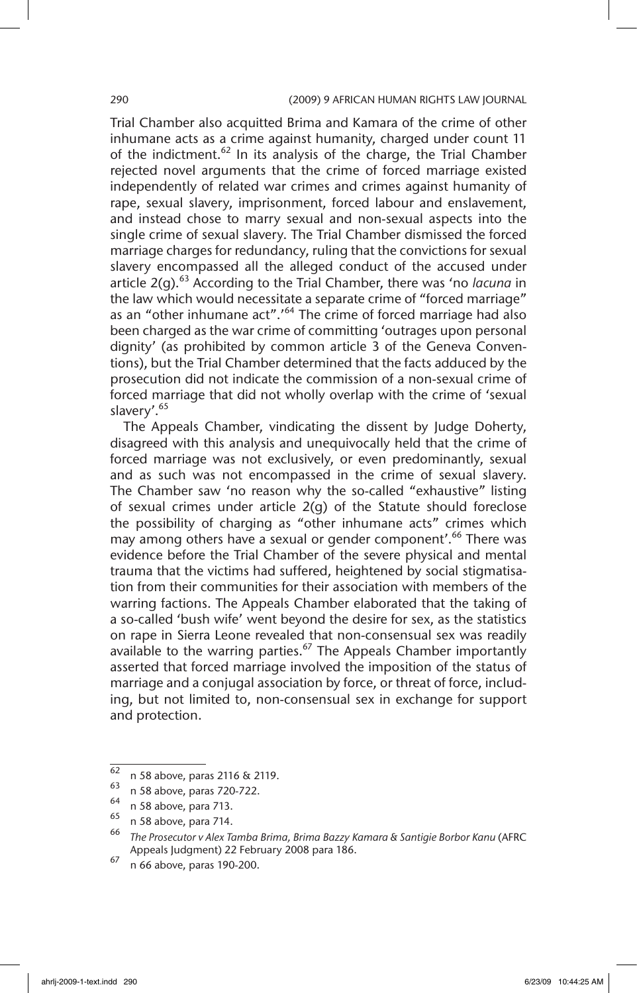Trial Chamber also acquitted Brima and Kamara of the crime of other inhumane acts as a crime against humanity, charged under count 11 of the indictment.<sup>62</sup> In its analysis of the charge, the Trial Chamber rejected novel arguments that the crime of forced marriage existed independently of related war crimes and crimes against humanity of rape, sexual slavery, imprisonment, forced labour and enslavement, and instead chose to marry sexual and non-sexual aspects into the single crime of sexual slavery. The Trial Chamber dismissed the forced marriage charges for redundancy, ruling that the convictions for sexual slavery encompassed all the alleged conduct of the accused under article 2(g).<sup>63</sup> According to the Trial Chamber, there was 'no *lacuna* in the law which would necessitate a separate crime of "forced marriage" as an "other inhumane act".<sup>64</sup> The crime of forced marriage had also been charged as the war crime of committing 'outrages upon personal dignity' (as prohibited by common article 3 of the Geneva Conventions), but the Trial Chamber determined that the facts adduced by the prosecution did not indicate the commission of a non-sexual crime of forced marriage that did not wholly overlap with the crime of 'sexual slavery'.<sup>65</sup>

The Appeals Chamber, vindicating the dissent by Judge Doherty, disagreed with this analysis and unequivocally held that the crime of forced marriage was not exclusively, or even predominantly, sexual and as such was not encompassed in the crime of sexual slavery. The Chamber saw 'no reason why the so-called "exhaustive" listing of sexual crimes under article 2(g) of the Statute should foreclose the possibility of charging as "other inhumane acts" crimes which may among others have a sexual or gender component'.<sup>66</sup> There was evidence before the Trial Chamber of the severe physical and mental trauma that the victims had suffered, heightened by social stigmatisation from their communities for their association with members of the warring factions. The Appeals Chamber elaborated that the taking of a so-called 'bush wife' went beyond the desire for sex, as the statistics on rape in Sierra Leone revealed that non-consensual sex was readily available to the warring parties.<sup>67</sup> The Appeals Chamber importantly asserted that forced marriage involved the imposition of the status of marriage and a conjugal association by force, or threat of force, including, but not limited to, non-consensual sex in exchange for support and protection.

 $^{62}$  n 58 above, paras 2116 & 2119.

 $^{63}$  n 58 above, paras 720-722.

 $^{64}$  n 58 above, para 713.

 $^{65}$  n 58 above, para 714.

<sup>66</sup> *The Prosecutor v Alex Tamba Brima, Brima Bazzy Kamara & Santigie Borbor Kanu* (AFRC Appeals Judgment) 22 February 2008 para 186.

 $\frac{67}{n}$  n 66 above, paras 190-200.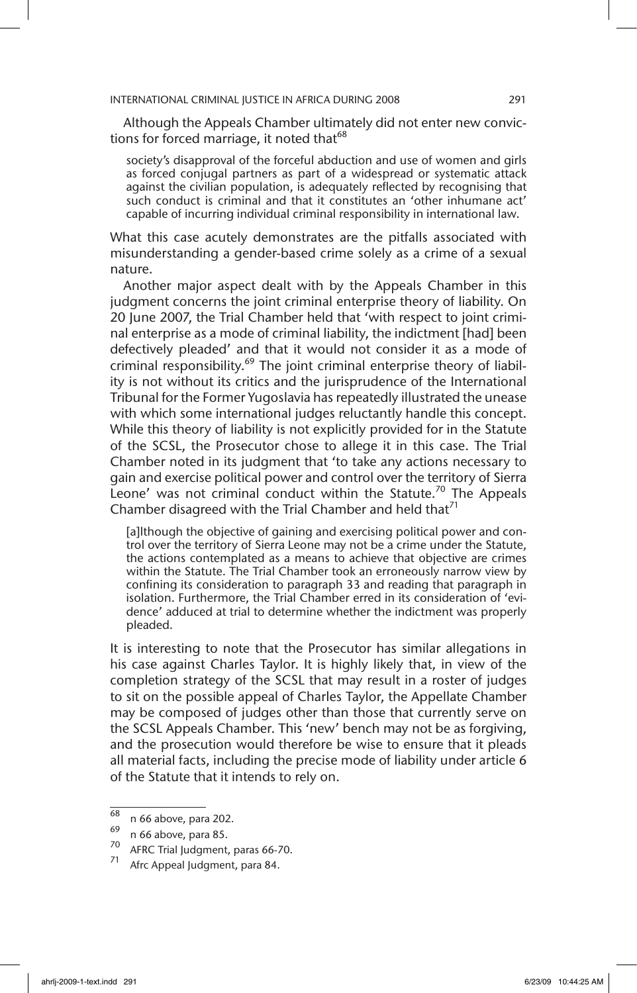Although the Appeals Chamber ultimately did not enter new convictions for forced marriage, it noted that<sup>68</sup>

society's disapproval of the forceful abduction and use of women and girls as forced conjugal partners as part of a widespread or systematic attack against the civilian population, is adequately reflected by recognising that such conduct is criminal and that it constitutes an 'other inhumane act' capable of incurring individual criminal responsibility in international law.

What this case acutely demonstrates are the pitfalls associated with misunderstanding a gender-based crime solely as a crime of a sexual nature.

Another major aspect dealt with by the Appeals Chamber in this judgment concerns the joint criminal enterprise theory of liability. On 20 June 2007, the Trial Chamber held that 'with respect to joint criminal enterprise as a mode of criminal liability, the indictment [had] been defectively pleaded' and that it would not consider it as a mode of criminal responsibility.<sup>69</sup> The joint criminal enterprise theory of liability is not without its critics and the jurisprudence of the International Tribunal for the Former Yugoslavia has repeatedly illustrated the unease with which some international judges reluctantly handle this concept. While this theory of liability is not explicitly provided for in the Statute of the SCSL, the Prosecutor chose to allege it in this case. The Trial Chamber noted in its judgment that 'to take any actions necessary to gain and exercise political power and control over the territory of Sierra Leone' was not criminal conduct within the Statute.<sup>70</sup> The Appeals Chamber disagreed with the Trial Chamber and held that<sup>71</sup>

[a]lthough the objective of gaining and exercising political power and control over the territory of Sierra Leone may not be a crime under the Statute, the actions contemplated as a means to achieve that objective are crimes within the Statute. The Trial Chamber took an erroneously narrow view by confining its consideration to paragraph 33 and reading that paragraph in isolation. Furthermore, the Trial Chamber erred in its consideration of 'evidence' adduced at trial to determine whether the indictment was properly pleaded.

It is interesting to note that the Prosecutor has similar allegations in his case against Charles Taylor. It is highly likely that, in view of the completion strategy of the SCSL that may result in a roster of judges to sit on the possible appeal of Charles Taylor, the Appellate Chamber may be composed of judges other than those that currently serve on the SCSL Appeals Chamber. This 'new' bench may not be as forgiving, and the prosecution would therefore be wise to ensure that it pleads all material facts, including the precise mode of liability under article 6 of the Statute that it intends to rely on.

 $^{68}$  n 66 above, para 202.

 $\frac{69}{70}$  n 66 above, para 85.

 $^{70}$  AFRC Trial Judgment, paras 66-70.

Afrc Appeal Judgment, para 84.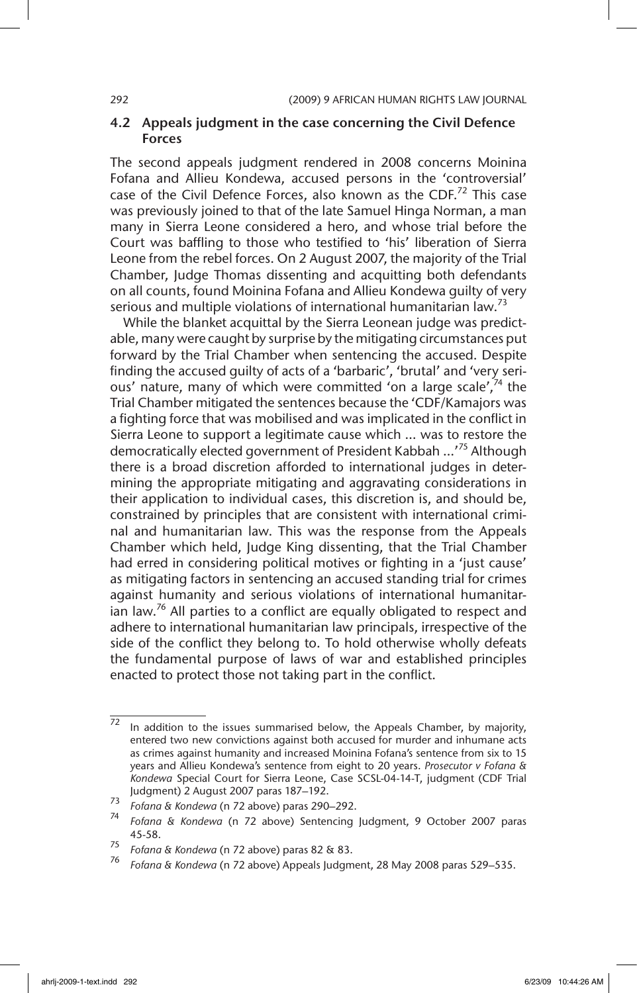### 4.2 Appeals judgment in the case concerning the Civil Defence Forces

The second appeals judgment rendered in 2008 concerns Moinina Fofana and Allieu Kondewa, accused persons in the 'controversial' case of the Civil Defence Forces, also known as the CDF.<sup>72</sup> This case was previously joined to that of the late Samuel Hinga Norman, a man many in Sierra Leone considered a hero, and whose trial before the Court was baffling to those who testified to 'his' liberation of Sierra Leone from the rebel forces. On 2 August 2007, the majority of the Trial Chamber, Judge Thomas dissenting and acquitting both defendants on all counts, found Moinina Fofana and Allieu Kondewa guilty of very serious and multiple violations of international humanitarian law.<sup>73</sup>

While the blanket acquittal by the Sierra Leonean judge was predictable, many were caught by surprise by the mitigating circumstances put forward by the Trial Chamber when sentencing the accused. Despite finding the accused guilty of acts of a 'barbaric', 'brutal' and 'very serious' nature, many of which were committed 'on a large scale',<sup>74</sup> the Trial Chamber mitigated the sentences because the 'CDF/Kamajors was a fighting force that was mobilised and was implicated in the conflict in Sierra Leone to support a legitimate cause which … was to restore the democratically elected government of President Kabbah …'75 Although there is a broad discretion afforded to international judges in determining the appropriate mitigating and aggravating considerations in their application to individual cases, this discretion is, and should be, constrained by principles that are consistent with international criminal and humanitarian law. This was the response from the Appeals Chamber which held, Judge King dissenting, that the Trial Chamber had erred in considering political motives or fighting in a 'just cause' as mitigating factors in sentencing an accused standing trial for crimes against humanity and serious violations of international humanitarian law.<sup>76</sup> All parties to a conflict are equally obligated to respect and adhere to international humanitarian law principals, irrespective of the side of the conflict they belong to. To hold otherwise wholly defeats the fundamental purpose of laws of war and established principles enacted to protect those not taking part in the conflict.

 $\overline{72}$  In addition to the issues summarised below, the Appeals Chamber, by majority, entered two new convictions against both accused for murder and inhumane acts as crimes against humanity and increased Moinina Fofana's sentence from six to 15 years and Allieu Kondewa's sentence from eight to 20 years. *Prosecutor v Fofana & Kondewa* Special Court for Sierra Leone, Case SCSL-04-14-T, judgment (CDF Trial Judgment) 2 August 2007 paras 187–192.

<sup>73</sup> *Fofana & Kondewa* (n 72 above) paras 290–292.

<sup>74</sup> *Fofana & Kondewa* (n 72 above) Sentencing Judgment, 9 October 2007 paras 45-58.

<sup>75</sup> *Fofana & Kondewa* (n 72 above) paras 82 & 83.

<sup>76</sup> *Fofana & Kondewa* (n 72 above) Appeals Judgment, 28 May 2008 paras 529–535.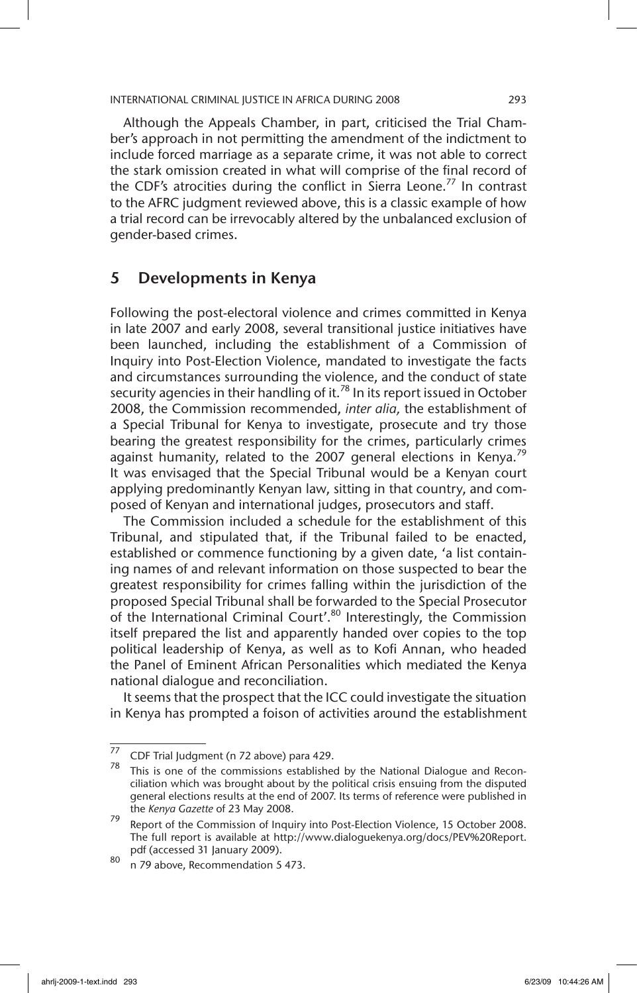Although the Appeals Chamber, in part, criticised the Trial Chamber's approach in not permitting the amendment of the indictment to include forced marriage as a separate crime, it was not able to correct the stark omission created in what will comprise of the final record of the CDF's atrocities during the conflict in Sierra Leone.<sup>77</sup> In contrast to the AFRC judgment reviewed above, this is a classic example of how a trial record can be irrevocably altered by the unbalanced exclusion of gender-based crimes.

## 5 Developments in Kenya

Following the post-electoral violence and crimes committed in Kenya in late 2007 and early 2008, several transitional justice initiatives have been launched, including the establishment of a Commission of Inquiry into Post-Election Violence, mandated to investigate the facts and circumstances surrounding the violence, and the conduct of state security agencies in their handling of it.<sup>78</sup> In its report issued in October 2008, the Commission recommended, *inter alia,* the establishment of a Special Tribunal for Kenya to investigate, prosecute and try those bearing the greatest responsibility for the crimes, particularly crimes against humanity, related to the 2007 general elections in Kenya.<sup>79</sup> It was envisaged that the Special Tribunal would be a Kenyan court applying predominantly Kenyan law, sitting in that country, and composed of Kenyan and international judges, prosecutors and staff.

The Commission included a schedule for the establishment of this Tribunal, and stipulated that, if the Tribunal failed to be enacted, established or commence functioning by a given date, 'a list containing names of and relevant information on those suspected to bear the greatest responsibility for crimes falling within the jurisdiction of the proposed Special Tribunal shall be forwarded to the Special Prosecutor of the International Criminal Court'.<sup>80</sup> Interestingly, the Commission itself prepared the list and apparently handed over copies to the top political leadership of Kenya, as well as to Kofi Annan, who headed the Panel of Eminent African Personalities which mediated the Kenya national dialogue and reconciliation.

It seems that the prospect that the ICC could investigate the situation in Kenya has prompted a foison of activities around the establishment

<sup>77</sup> CDF Trial Judgment (n 72 above) para 429.

 $78$  This is one of the commissions established by the National Dialogue and Reconciliation which was brought about by the political crisis ensuing from the disputed general elections results at the end of 2007. Its terms of reference were published in the *Kenya Gazette* of 23 May 2008.

<sup>79</sup> Report of the Commission of Inquiry into Post-Election Violence, 15 October 2008. The full report is available at http://www.dialoguekenya.org/docs/PEV%20Report. pdf (accessed 31 January 2009).

 $\frac{80}{n}$  79 above, Recommendation 5 473.